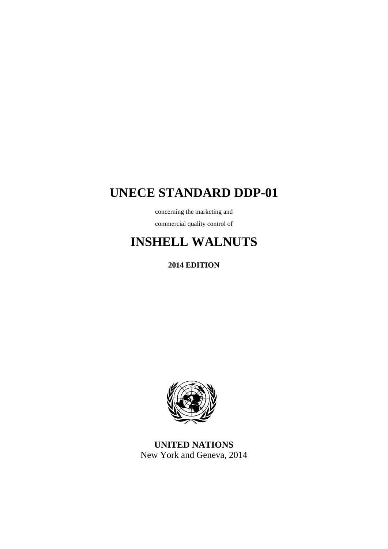## **UNECE STANDARD DDP-01**

concerning the marketing and commercial quality control of

# **INSHELL WALNUTS**

**2014 EDITION** 



**UNITED NATIONS**  New York and Geneva, 2014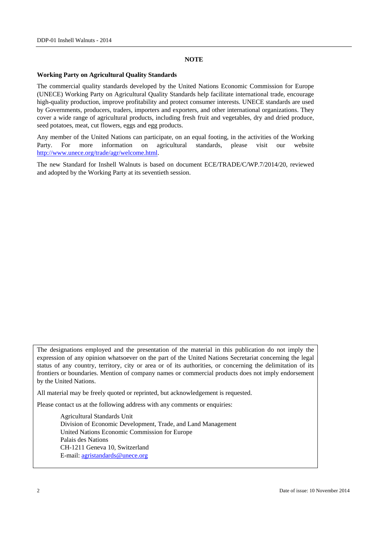#### **NOTE**

#### **Working Party on Agricultural Quality Standards**

The commercial quality standards developed by the United Nations Economic Commission for Europe (UNECE) Working Party on Agricultural Quality Standards help facilitate international trade, encourage high-quality production, improve profitability and protect consumer interests. UNECE standards are used by Governments, producers, traders, importers and exporters, and other international organizations. They cover a wide range of agricultural products, including fresh fruit and vegetables, dry and dried produce, seed potatoes, meat, cut flowers, eggs and egg products.

Any member of the United Nations can participate, on an equal footing, in the activities of the Working Party. For more information on agricultural standards, please visit our website http://www.unece.org/trade/agr/welcome.html.

The new Standard for Inshell Walnuts is based on document ECE/TRADE/C/WP.7/2014/20, reviewed and adopted by the Working Party at its seventieth session.

The designations employed and the presentation of the material in this publication do not imply the expression of any opinion whatsoever on the part of the United Nations Secretariat concerning the legal status of any country, territory, city or area or of its authorities, or concerning the delimitation of its frontiers or boundaries. Mention of company names or commercial products does not imply endorsement by the United Nations.

All material may be freely quoted or reprinted, but acknowledgement is requested.

Please contact us at the following address with any comments or enquiries:

 Agricultural Standards Unit Division of Economic Development, Trade, and Land Management United Nations Economic Commission for Europe Palais des Nations CH-1211 Geneva 10, Switzerland E-mail: agristandards@unece.org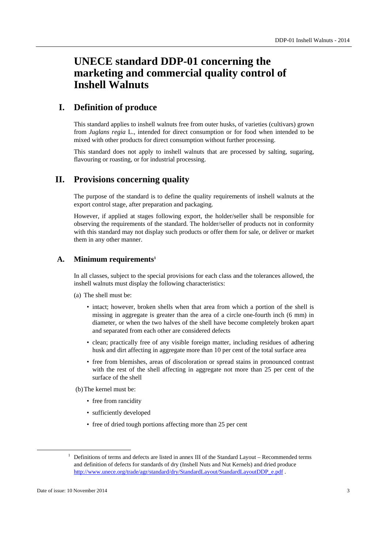## **UNECE standard DDP-01 concerning the marketing and commercial quality control of Inshell Walnuts**

## **I. Definition of produce**

This standard applies to inshell walnuts free from outer husks, of varieties (cultivars) grown from *Juglans regia* L., intended for direct consumption or for food when intended to be mixed with other products for direct consumption without further processing.

This standard does not apply to inshell walnuts that are processed by salting, sugaring, flavouring or roasting, or for industrial processing.

## **II. Provisions concerning quality**

The purpose of the standard is to define the quality requirements of inshell walnuts at the export control stage, after preparation and packaging.

However, if applied at stages following export, the holder/seller shall be responsible for observing the requirements of the standard. The holder/seller of products not in conformity with this standard may not display such products or offer them for sale, or deliver or market them in any other manner.

#### **A. Minimum requirements1**

In all classes, subject to the special provisions for each class and the tolerances allowed, the inshell walnuts must display the following characteristics:

- (a) The shell must be:
	- intact; however, broken shells when that area from which a portion of the shell is missing in aggregate is greater than the area of a circle one-fourth inch (6 mm) in diameter, or when the two halves of the shell have become completely broken apart and separated from each other are considered defects
	- clean; practically free of any visible foreign matter, including residues of adhering husk and dirt affecting in aggregate more than 10 per cent of the total surface area
	- free from blemishes, areas of discoloration or spread stains in pronounced contrast with the rest of the shell affecting in aggregate not more than 25 per cent of the surface of the shell

(b) The kernel must be:

- free from rancidity
- sufficiently developed
- free of dried tough portions affecting more than 25 per cent

<sup>&</sup>lt;u>1</u>  $1$  Definitions of terms and defects are listed in annex III of the Standard Layout – Recommended terms and definition of defects for standards of dry (Inshell Nuts and Nut Kernels) and dried produce http://www.unece.org/trade/agr/standard/dry/StandardLayout/StandardLayoutDDP\_e.pdf .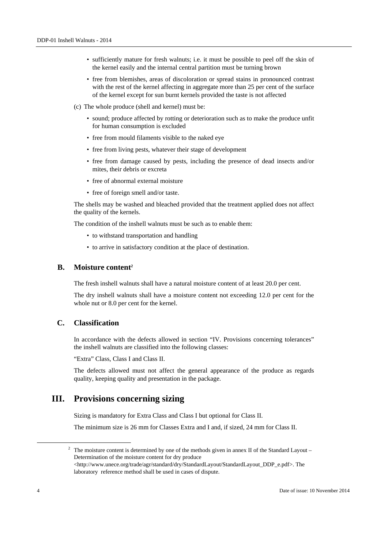- sufficiently mature for fresh walnuts; i.e. it must be possible to peel off the skin of the kernel easily and the internal central partition must be turning brown
- free from blemishes, areas of discoloration or spread stains in pronounced contrast with the rest of the kernel affecting in aggregate more than 25 per cent of the surface of the kernel except for sun burnt kernels provided the taste is not affected
- (c) The whole produce (shell and kernel) must be:
	- sound; produce affected by rotting or deterioration such as to make the produce unfit for human consumption is excluded
	- free from mould filaments visible to the naked eye
	- free from living pests, whatever their stage of development
	- free from damage caused by pests, including the presence of dead insects and/or mites, their debris or excreta
	- free of abnormal external moisture
	- free of foreign smell and/or taste.

The shells may be washed and bleached provided that the treatment applied does not affect the quality of the kernels.

The condition of the inshell walnuts must be such as to enable them:

- to withstand transportation and handling
- to arrive in satisfactory condition at the place of destination.

#### **B.** Moisture content<sup>2</sup>

The fresh inshell walnuts shall have a natural moisture content of at least 20.0 per cent.

The dry inshell walnuts shall have a moisture content not exceeding 12.0 per cent for the whole nut or 8.0 per cent for the kernel.

#### **C. Classification**

In accordance with the defects allowed in section "IV. Provisions concerning tolerances" the inshell walnuts are classified into the following classes:

"Extra" Class, Class I and Class II.

The defects allowed must not affect the general appearance of the produce as regards quality, keeping quality and presentation in the package.

## **III. Provisions concerning sizing**

Sizing is mandatory for Extra Class and Class I but optional for Class II.

The minimum size is 26 mm for Classes Extra and I and, if sized, 24 mm for Class II.

 <sup>2</sup>  $\frac{2}{3}$  The moisture content is determined by one of the methods given in annex II of the Standard Layout – Determination of the moisture content for dry produce <http://www.unece.org/trade/agr/standard/dry/StandardLayout/StandardLayout\_DDP\_e.pdf>. The

laboratory reference method shall be used in cases of dispute.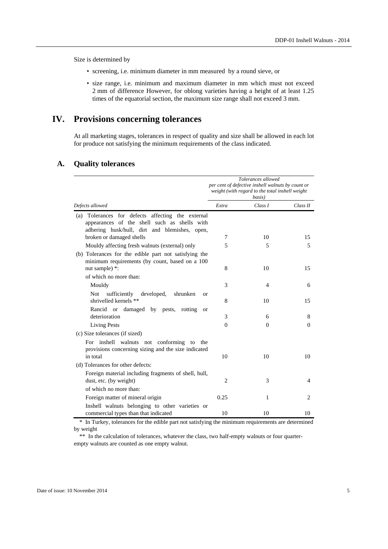Size is determined by

- screening, i.e. minimum diameter in mm measured by a round sieve, or
- size range, i.e. minimum and maximum diameter in mm which must not exceed 2 mm of difference However, for oblong varieties having a height of at least 1.25 times of the equatorial section, the maximum size range shall not exceed 3 mm.

## **IV. Provisions concerning tolerances**

At all marketing stages, tolerances in respect of quality and size shall be allowed in each lot for produce not satisfying the minimum requirements of the class indicated.

|                                                                                                                                                       | Tolerances allowed<br>per cent of defective inshell walnuts by count or<br>weight (with regard to the total inshell weight<br>basis) |          |                |
|-------------------------------------------------------------------------------------------------------------------------------------------------------|--------------------------------------------------------------------------------------------------------------------------------------|----------|----------------|
| Defects allowed                                                                                                                                       | Extra                                                                                                                                | Class I  | Class II       |
| Tolerances for defects affecting the external<br>(a)<br>appearances of the shell such as shells with<br>adhering husk/hull, dirt and blemishes, open, |                                                                                                                                      |          |                |
| broken or damaged shells                                                                                                                              | 7                                                                                                                                    | 10       | 15             |
| Mouldy affecting fresh walnuts (external) only                                                                                                        | 5                                                                                                                                    | 5        | 5              |
| (b) Tolerances for the edible part not satisfying the<br>minimum requirements (by count, based on a 100<br>nut sample) *:                             | 8                                                                                                                                    | 10       | 15             |
| of which no more than:                                                                                                                                |                                                                                                                                      |          |                |
| Mouldy                                                                                                                                                | 3                                                                                                                                    | 4        | 6              |
| Not<br>sufficiently<br>developed,<br>shrunken<br><b>or</b><br>shrivelled kernels **                                                                   | 8                                                                                                                                    | 10       | 15             |
| Rancid or damaged by pests,<br>rotting<br><b>or</b><br>deterioration                                                                                  | 3                                                                                                                                    | 6        | 8              |
| <b>Living Pests</b>                                                                                                                                   | $\Omega$                                                                                                                             | $\theta$ | $\Omega$       |
| (c) Size tolerances (if sized)                                                                                                                        |                                                                                                                                      |          |                |
| For inshell walnuts not conforming to<br>the<br>provisions concerning sizing and the size indicated<br>in total                                       | 10                                                                                                                                   | 10       | 10             |
| (d) Tolerances for other defects:                                                                                                                     |                                                                                                                                      |          |                |
| Foreign material including fragments of shell, hull,<br>dust, etc. (by weight)                                                                        | 2                                                                                                                                    | 3        | 4              |
| of which no more than:                                                                                                                                |                                                                                                                                      |          |                |
| Foreign matter of mineral origin                                                                                                                      | 0.25                                                                                                                                 | 1        | $\overline{c}$ |
| Inshell walnuts belonging to other varieties or<br>commercial types than that indicated                                                               | 10                                                                                                                                   | 10       | 10             |

#### **A. Quality tolerances**

\* In Turkey, tolerances for the edible part not satisfying the minimum requirements are determined by weight

\*\* In the calculation of tolerances, whatever the class, two half-empty walnuts or four quarterempty walnuts are counted as one empty walnut.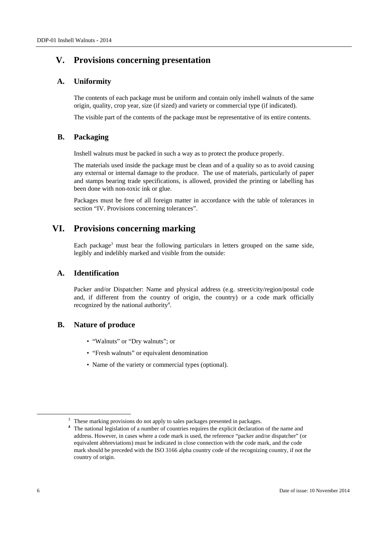## **V. Provisions concerning presentation**

#### **A. Uniformity**

The contents of each package must be uniform and contain only inshell walnuts of the same origin, quality, crop year, size (if sized) and variety or commercial type (if indicated).

The visible part of the contents of the package must be representative of its entire contents.

#### **B. Packaging**

Inshell walnuts must be packed in such a way as to protect the produce properly.

The materials used inside the package must be clean and of a quality so as to avoid causing any external or internal damage to the produce. The use of materials, particularly of paper and stamps bearing trade specifications, is allowed, provided the printing or labelling has been done with non-toxic ink or glue.

Packages must be free of all foreign matter in accordance with the table of tolerances in section "IV. Provisions concerning tolerances".

## **VI. Provisions concerning marking**

Each package<sup>3</sup> must bear the following particulars in letters grouped on the same side, legibly and indelibly marked and visible from the outside:

#### **A. Identification**

Packer and/or Dispatcher: Name and physical address (e.g. street/city/region/postal code and, if different from the country of origin, the country) or a code mark officially recognized by the national authority<sup>4</sup>.

#### **B. Nature of produce**

- "Walnuts" or "Dry walnuts"; or
- "Fresh walnuts" or equivalent denomination
- Name of the variety or commercial types (optional).

<sup>&</sup>lt;sup>3</sup> These marking provisions do not apply to sales packages presented in packages.

**<sup>4</sup>** The national legislation of a number of countries requires the explicit declaration of the name and address. However, in cases where a code mark is used, the reference "packer and/or dispatcher" (or equivalent abbreviations) must be indicated in close connection with the code mark, and the code mark should be preceded with the ISO 3166 alpha country code of the recognizing country, if not the country of origin.